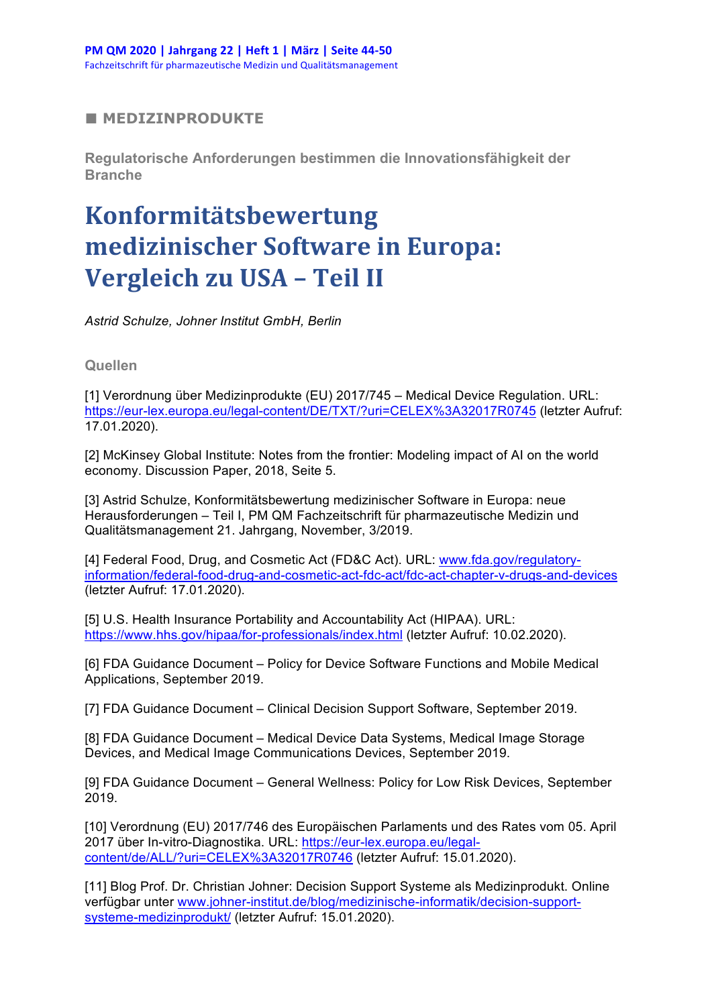## **■ MEDIZINPRODUKTE**

**Regulatorische Anforderungen bestimmen die Innovationsfähigkeit der Branche**

## **Konformitätsbewertung medizinischer Software in Europa:** Vergleich zu USA - Teil II

*Astrid Schulze, Johner Institut GmbH, Berlin*

**Quellen**

[1] Verordnung über Medizinprodukte (EU) 2017/745 – Medical Device Regulation. URL: https://eur-lex.europa.eu/legal-content/DE/TXT/?uri=CELEX%3A32017R0745 (letzter Aufruf: 17.01.2020).

[2] McKinsey Global Institute: Notes from the frontier: Modeling impact of AI on the world economy. Discussion Paper, 2018, Seite 5.

[3] Astrid Schulze, Konformitätsbewertung medizinischer Software in Europa: neue Herausforderungen – Teil I, PM QM Fachzeitschrift für pharmazeutische Medizin und Qualitätsmanagement 21. Jahrgang, November, 3/2019.

[4] Federal Food, Drug, and Cosmetic Act (FD&C Act). URL: www.fda.gov/regulatoryinformation/federal-food-drug-and-cosmetic-act-fdc-act/fdc-act-chapter-v-drugs-and-devices (letzter Aufruf: 17.01.2020).

[5] U.S. Health Insurance Portability and Accountability Act (HIPAA). URL: https://www.hhs.gov/hipaa/for-professionals/index.html (letzter Aufruf: 10.02.2020).

[6] FDA Guidance Document – Policy for Device Software Functions and Mobile Medical Applications, September 2019.

[7] FDA Guidance Document – Clinical Decision Support Software, September 2019.

[8] FDA Guidance Document – Medical Device Data Systems, Medical Image Storage Devices, and Medical Image Communications Devices, September 2019.

[9] FDA Guidance Document – General Wellness: Policy for Low Risk Devices, September 2019.

[10] Verordnung (EU) 2017/746 des Europäischen Parlaments und des Rates vom 05. April 2017 über In-vitro-Diagnostika. URL: https://eur-lex.europa.eu/legalcontent/de/ALL/?uri=CELEX%3A32017R0746 (letzter Aufruf: 15.01.2020).

[11] Blog Prof. Dr. Christian Johner: Decision Support Systeme als Medizinprodukt. Online verfügbar unter www.johner-institut.de/blog/medizinische-informatik/decision-supportsysteme-medizinprodukt/ (letzter Aufruf: 15.01.2020).